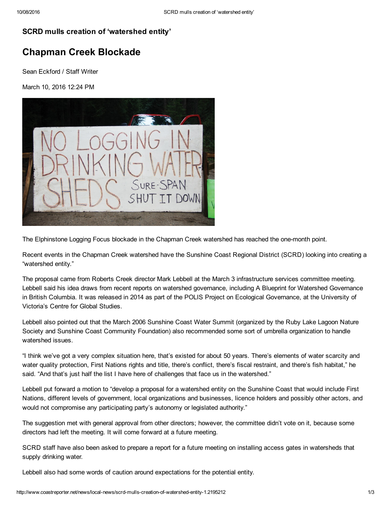## SCRD mulls creation of 'watershed entity'

## Chapman Creek Blockade

Sean Eckford / Staff Writer

March 10, 2016 12:24 PM



The Elphinstone Logging Focus blockade in the Chapman Creek watershed has reached the one-month point.

Recent events in the Chapman Creek watershed have the Sunshine Coast Regional District (SCRD) looking into creating a "watershed entity."

The proposal came from Roberts Creek director Mark Lebbell at the March 3 infrastructure services committee meeting. Lebbell said his idea draws from recent reports on watershed governance, including A Blueprint for Watershed Governance in British Columbia. It was released in 2014 as part of the POLIS Project on Ecological Governance, at the University of Victoria's Centre for Global Studies.

Lebbell also pointed out that the March 2006 Sunshine Coast Water Summit (organized by the Ruby Lake Lagoon Nature Society and Sunshine Coast Community Foundation) also recommended some sort of umbrella organization to handle watershed issues.

"I think we've got a very complex situation here, that's existed for about 50 years. There's elements of water scarcity and water quality protection, First Nations rights and title, there's conflict, there's fiscal restraint, and there's fish habitat," he said. "And that's just half the list I have here of challenges that face us in the watershed."

Lebbell put forward a motion to "develop a proposal for a watershed entity on the Sunshine Coast that would include First Nations, different levels of government, local organizations and businesses, licence holders and possibly other actors, and would not compromise any participating party's autonomy or legislated authority."

The suggestion met with general approval from other directors; however, the committee didn't vote on it, because some directors had left the meeting. It will come forward at a future meeting.

SCRD staff have also been asked to prepare a report for a future meeting on installing access gates in watersheds that supply drinking water.

Lebbell also had some words of caution around expectations for the potential entity.